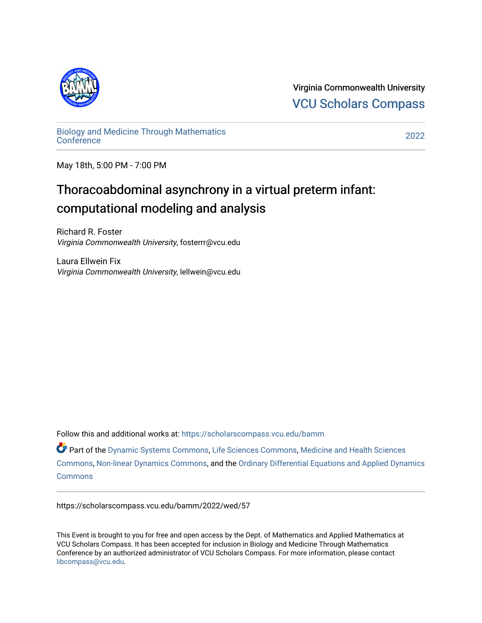

Virginia Commonwealth University [VCU Scholars Compass](https://scholarscompass.vcu.edu/) 

[Biology and Medicine Through Mathematics](https://scholarscompass.vcu.edu/bamm)  [Conference](https://scholarscompass.vcu.edu/bamm) [2022](https://scholarscompass.vcu.edu/bamm/2022) 

May 18th, 5:00 PM - 7:00 PM

## Thoracoabdominal asynchrony in a virtual preterm infant: computational modeling and analysis

Richard R. Foster Virginia Commonwealth University, fosterrr@vcu.edu

Laura Ellwein Fix Virginia Commonwealth University, lellwein@vcu.edu

Follow this and additional works at: [https://scholarscompass.vcu.edu/bamm](https://scholarscompass.vcu.edu/bamm?utm_source=scholarscompass.vcu.edu%2Fbamm%2F2022%2Fwed%2F57&utm_medium=PDF&utm_campaign=PDFCoverPages)

Part of the [Dynamic Systems Commons](https://network.bepress.com/hgg/discipline/117?utm_source=scholarscompass.vcu.edu%2Fbamm%2F2022%2Fwed%2F57&utm_medium=PDF&utm_campaign=PDFCoverPages), [Life Sciences Commons](https://network.bepress.com/hgg/discipline/1016?utm_source=scholarscompass.vcu.edu%2Fbamm%2F2022%2Fwed%2F57&utm_medium=PDF&utm_campaign=PDFCoverPages), [Medicine and Health Sciences](https://network.bepress.com/hgg/discipline/648?utm_source=scholarscompass.vcu.edu%2Fbamm%2F2022%2Fwed%2F57&utm_medium=PDF&utm_campaign=PDFCoverPages)  [Commons](https://network.bepress.com/hgg/discipline/648?utm_source=scholarscompass.vcu.edu%2Fbamm%2F2022%2Fwed%2F57&utm_medium=PDF&utm_campaign=PDFCoverPages), [Non-linear Dynamics Commons](https://network.bepress.com/hgg/discipline/118?utm_source=scholarscompass.vcu.edu%2Fbamm%2F2022%2Fwed%2F57&utm_medium=PDF&utm_campaign=PDFCoverPages), and the [Ordinary Differential Equations and Applied Dynamics](https://network.bepress.com/hgg/discipline/121?utm_source=scholarscompass.vcu.edu%2Fbamm%2F2022%2Fwed%2F57&utm_medium=PDF&utm_campaign=PDFCoverPages)  **[Commons](https://network.bepress.com/hgg/discipline/121?utm_source=scholarscompass.vcu.edu%2Fbamm%2F2022%2Fwed%2F57&utm_medium=PDF&utm_campaign=PDFCoverPages)** 

https://scholarscompass.vcu.edu/bamm/2022/wed/57

This Event is brought to you for free and open access by the Dept. of Mathematics and Applied Mathematics at VCU Scholars Compass. It has been accepted for inclusion in Biology and Medicine Through Mathematics Conference by an authorized administrator of VCU Scholars Compass. For more information, please contact [libcompass@vcu.edu.](mailto:libcompass@vcu.edu)